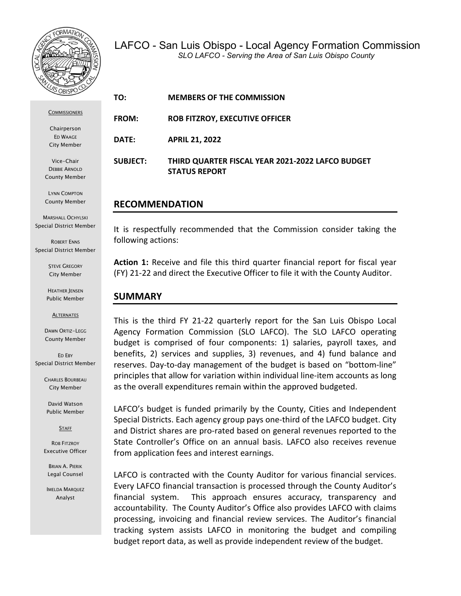

**COMMISSIONERS** 

Chairperson ED WAAGE City Member

Vice-Chair DEBBIE ARNOLD County Member

LYNN COMPTON County Member

MARSHALL OCHYLSKI Special District Member

ROBERT ENNS Special District Member

> STEVE GREGORY City Member

HEATHER JENSEN Public Member

**ALTERNATES** 

DAWN ORTIZ-LEGG County Member

ED EBY Special District Member

> CHARLES BOURBEAU City Member

David Watson Public Member

**STAFF** 

ROB FITZROY Executive Officer

BRIAN A. PIERIK Legal Counsel

IMELDA MARQUEZ Analyst

**TO: MEMBERS OF THE COMMISSION FROM: ROB FITZROY, EXECUTIVE OFFICER DATE: APRIL 21, 2022 SUBJECT: THIRD QUARTER FISCAL YEAR 2021-2022 LAFCO BUDGET STATUS REPORT**

## **RECOMMENDATION**

It is respectfully recommended that the Commission consider taking the following actions:

**Action 1:** Receive and file this third quarter financial report for fiscal year (FY) 21-22 and direct the Executive Officer to file it with the County Auditor.

## **SUMMARY**

This is the third FY 21-22 quarterly report for the San Luis Obispo Local Agency Formation Commission (SLO LAFCO). The SLO LAFCO operating budget is comprised of four components: 1) salaries, payroll taxes, and benefits, 2) services and supplies, 3) revenues, and 4) fund balance and reserves. Day-to-day management of the budget is based on "bottom-line" principles that allow for variation within individual line-item accounts as long as the overall expenditures remain within the approved budgeted.

LAFCO's budget is funded primarily by the County, Cities and Independent Special Districts. Each agency group pays one-third of the LAFCO budget. City and District shares are pro-rated based on general revenues reported to the State Controller's Office on an annual basis. LAFCO also receives revenue from application fees and interest earnings.

LAFCO is contracted with the County Auditor for various financial services. Every LAFCO financial transaction is processed through the County Auditor's financial system. This approach ensures accuracy, transparency and accountability. The County Auditor's Office also provides LAFCO with claims processing, invoicing and financial review services. The Auditor's financial tracking system assists LAFCO in monitoring the budget and compiling budget report data, as well as provide independent review of the budget.